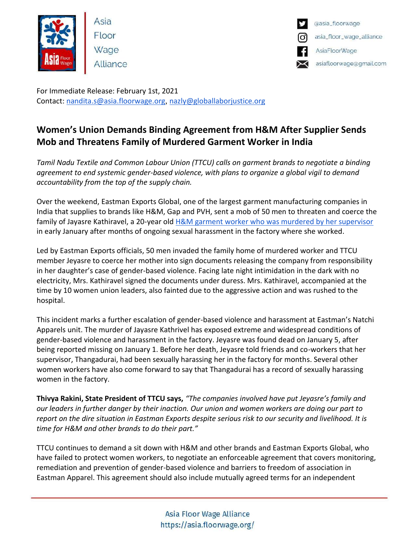

Asia Floor Wage Alliance



For Immediate Release: February 1st, 2021 Contact: [nandita.s@asia.floorwage.org](mailto:nandita.s@asia.floorwage.org), [nazly@globallaborjustice.org](mailto:nazly@globallaborjustice.org)

## **Women's Union Demands Binding Agreement from H&M After Supplier Sends Mob and Threatens Family of Murdered Garment Worker in India**

*Tamil Nadu Textile and Common Labour Union (TTCU) calls on garment brands to negotiate a binding agreement to end systemic gender-based violence, with plans to organize a global vigil to demand accountability from the top of the supply chain.*

Over the weekend, Eastman Exports Global, one of the largest garment manufacturing companies in India that supplies to brands like H&M, Gap and PVH, sent a mob of 50 men to threaten and coerce the family of Jayasre Kathiravel, a 20-year old [H&M garment worker who was murdered by her supervisor](https://www.theguardian.com/global-development/2021/feb/01/worker-at-hm-supply-factory-was-killed-after-months-of-harassment-claims-family?CMP=share_btn_link) in early January after months of ongoing sexual harassment in the factory where she worked.

Led by Eastman Exports officials, 50 men invaded the family home of murdered worker and TTCU member Jeyasre to coerce her mother into sign documents releasing the company from responsibility in her daughter's case of gender-based violence. Facing late night intimidation in the dark with no electricity, Mrs. Kathiravel signed the documents under duress. Mrs. Kathiravel, accompanied at the time by 10 women union leaders, also fainted due to the aggressive action and was rushed to the hospital.

This incident marks a further escalation of gender-based violence and harassment at Eastman's Natchi Apparels unit. The murder of Jayasre Kathrivel has exposed extreme and widespread conditions of gender-based violence and harassment in the factory. Jeyasre was found dead on January 5, after being reported missing on January 1. Before her death, Jeyasre told friends and co-workers that her supervisor, Thangadurai, had been sexually harassing her in the factory for months. Several other women workers have also come forward to say that Thangadurai has a record of sexually harassing women in the factory.

**Thivya Rakini, State President of TTCU says,** *"The companies involved have put Jeyasre's family and our leaders in further danger by their inaction. Our union and women workers are doing our part to report on the dire situation in Eastman Exports despite serious risk to our security and livelihood. It is time for H&M and other brands to do their part."*

TTCU continues to demand a sit down with H&M and other brands and Eastman Exports Global, who have failed to protect women workers, to negotiate an enforceable agreement that covers monitoring, remediation and prevention of gender-based violence and barriers to freedom of association in Eastman Apparel. This agreement should also include mutually agreed terms for an independent

> Asia Floor Wage Alliance https://asia.floorwage.org/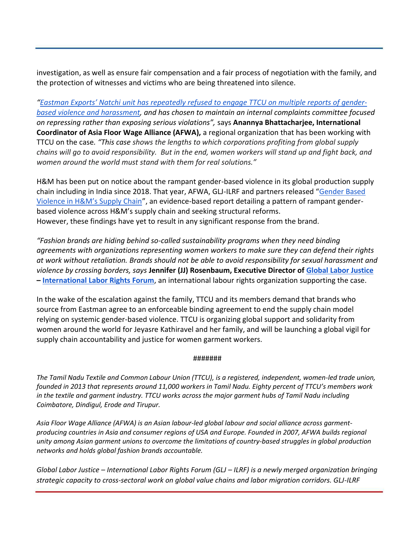investigation, as well as ensure fair compensation and a fair process of negotiation with the family, and the protection of witnesses and victims who are being threatened into silence.

*["Eastman Exports' Natchi unit has repeatedly refused to engage TTCU on mu](https://asia.floorwage.org/wp-content/uploads/2021/01/Case-Summary-GBV-Case-at-Natchi-Apparels-AFWA-TTCU.pdf)ltiple reports of gender[based violence and harassment,](https://asia.floorwage.org/wp-content/uploads/2021/01/Case-Summary-GBV-Case-at-Natchi-Apparels-AFWA-TTCU.pdf) and has chosen to maintain an internal complaints committee focused on repressing rather than exposing serious violations",* says **Anannya Bhattacharjee, International Coordinator of Asia Floor Wage Alliance (AFWA),** a regional organization that has been working with TTCU on the case*. "This case shows the lengths to which corporations profiting from global supply chains will go to avoid responsibility. But in the end, women workers will stand up and fight back, and women around the world must stand with them for real solutions."*

H&M has been put on notice about the rampant gender-based violence in its global production supply chain including in India since 2018. That year, AFWA, GLJ-ILRF and partners released "[Gender Based](https://globallaborjustice.org/hm-gender-based-violence-in-garment-supply-chains/)  [Violence in H&M's Supply Chain"](https://globallaborjustice.org/hm-gender-based-violence-in-garment-supply-chains/), an evidence-based report detailing a pattern of rampant genderbased violence across H&M's supply chain and seeking structural reforms. However, these findings have yet to result in any significant response from the brand.

*"Fashion brands are hiding behind so-called sustainability programs when they need binding agreements with organizations representing women workers to make sure they can defend their rights at work without retaliation. Brands should not be able to avoid responsibility for sexual harassment and violence by crossing borders, says* **Jennifer (JJ) Rosenbaum, Executive Director of [Global Labor Justice](https://globallaborjustice.org/) – [International Labor Rights Forum](https://laborrights.org/)**, an international labour rights organization supporting the case.

In the wake of the escalation against the family, TTCU and its members demand that brands who source from Eastman agree to an enforceable binding agreement to end the supply chain model relying on systemic gender-based violence. TTCU is organizing global support and solidarity from women around the world for Jeyasre Kathiravel and her family, and will be launching a global vigil for supply chain accountability and justice for women garment workers.

## #######

*The Tamil Nadu Textile and Common Labour Union (TTCU), is a registered, independent, women-led trade union, founded in 2013 that represents around 11,000 workers in Tamil Nadu. Eighty percent of TTCU's members work in the textile and garment industry. TTCU works across the major garment hubs of Tamil Nadu including Coimbatore, Dindigul, Erode and Tirupur.*

*Asia Floor Wage Alliance (AFWA) is an Asian labour-led global labour and social alliance across garmentproducing countries in Asia and consumer regions of USA and Europe. Founded in 2007, AFWA builds regional unity among Asian garment unions to overcome the limitations of country-based struggles in global production networks and holds global fashion brands accountable.*

*Global Labor Justice – [International Labor Rights Forum \(GLJ](https://globallaborjustice.org/international-labor-rights-forum-and-global-labor-justice-are-joining-forces-to-defend-worker-rights-and-build-worker-power-in-the-global-economy/) – ILRF) is a newly merged organization bringing strategic capacity to cross-sectoral work on global value chains and labor migration corridors. GLJ-ILRF*